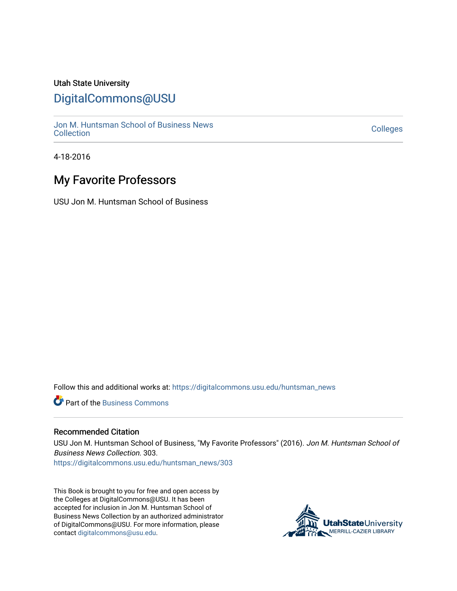#### Utah State University

## [DigitalCommons@USU](https://digitalcommons.usu.edu/)

[Jon M. Huntsman School of Business News](https://digitalcommons.usu.edu/huntsman_news)  Soft M. Huntsman School of Business News<br>[Collection](https://digitalcommons.usu.edu/huntsman_news) Colleges

4-18-2016

## **My Favorite Professors**

USU Jon M. Huntsman School of Business

Follow this and additional works at: [https://digitalcommons.usu.edu/huntsman\\_news](https://digitalcommons.usu.edu/huntsman_news?utm_source=digitalcommons.usu.edu%2Fhuntsman_news%2F303&utm_medium=PDF&utm_campaign=PDFCoverPages) 

**C** Part of the [Business Commons](http://network.bepress.com/hgg/discipline/622?utm_source=digitalcommons.usu.edu%2Fhuntsman_news%2F303&utm_medium=PDF&utm_campaign=PDFCoverPages)

#### Recommended Citation

USU Jon M. Huntsman School of Business, "My Favorite Professors" (2016). Jon M. Huntsman School of Business News Collection. 303.

[https://digitalcommons.usu.edu/huntsman\\_news/303](https://digitalcommons.usu.edu/huntsman_news/303?utm_source=digitalcommons.usu.edu%2Fhuntsman_news%2F303&utm_medium=PDF&utm_campaign=PDFCoverPages) 

This Book is brought to you for free and open access by the Colleges at DigitalCommons@USU. It has been accepted for inclusion in Jon M. Huntsman School of Business News Collection by an authorized administrator of DigitalCommons@USU. For more information, please contact [digitalcommons@usu.edu](mailto:digitalcommons@usu.edu).